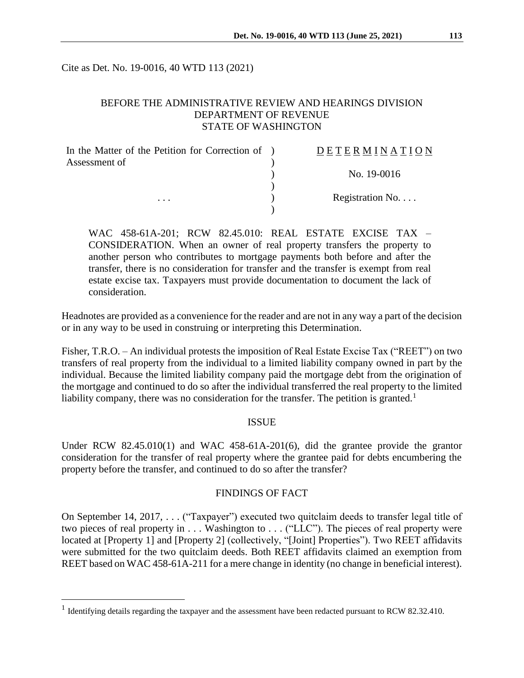Cite as Det. No. 19-0016, 40 WTD 113 (2021)

# BEFORE THE ADMINISTRATIVE REVIEW AND HEARINGS DIVISION DEPARTMENT OF REVENUE STATE OF WASHINGTON

| In the Matter of the Petition for Correction of ) | DETERMINATION   |
|---------------------------------------------------|-----------------|
| Assessment of<br>$\cdots$                         |                 |
|                                                   | No. 19-0016     |
|                                                   | Registration No |
|                                                   |                 |

WAC 458-61A-201; RCW 82.45.010: REAL ESTATE EXCISE TAX – CONSIDERATION. When an owner of real property transfers the property to another person who contributes to mortgage payments both before and after the transfer, there is no consideration for transfer and the transfer is exempt from real estate excise tax. Taxpayers must provide documentation to document the lack of consideration.

Headnotes are provided as a convenience for the reader and are not in any way a part of the decision or in any way to be used in construing or interpreting this Determination.

Fisher, T.R.O. – An individual protests the imposition of Real Estate Excise Tax ("REET") on two transfers of real property from the individual to a limited liability company owned in part by the individual. Because the limited liability company paid the mortgage debt from the origination of the mortgage and continued to do so after the individual transferred the real property to the limited liability company, there was no consideration for the transfer. The petition is granted.<sup>1</sup>

#### ISSUE

Under RCW 82.45.010(1) and WAC 458-61A-201(6), did the grantee provide the grantor consideration for the transfer of real property where the grantee paid for debts encumbering the property before the transfer, and continued to do so after the transfer?

## FINDINGS OF FACT

On September 14, 2017, . . . ("Taxpayer") executed two quitclaim deeds to transfer legal title of two pieces of real property in . . . Washington to . . . ("LLC"). The pieces of real property were located at [Property 1] and [Property 2] (collectively, "[Joint] Properties"). Two REET affidavits were submitted for the two quitclaim deeds. Both REET affidavits claimed an exemption from REET based on WAC 458-61A-211 for a mere change in identity (no change in beneficial interest).

 $\overline{a}$ 

<sup>&</sup>lt;sup>1</sup> Identifying details regarding the taxpayer and the assessment have been redacted pursuant to RCW 82.32.410.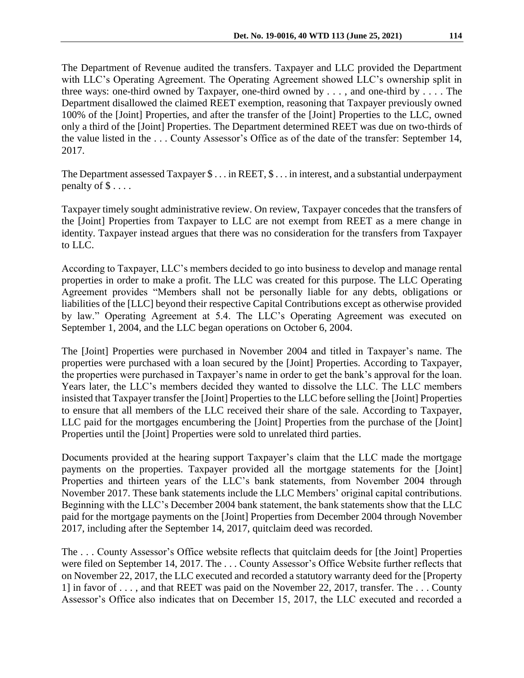The Department of Revenue audited the transfers. Taxpayer and LLC provided the Department with LLC's Operating Agreement. The Operating Agreement showed LLC's ownership split in three ways: one-third owned by Taxpayer, one-third owned by . . . , and one-third by . . . . The Department disallowed the claimed REET exemption, reasoning that Taxpayer previously owned 100% of the [Joint] Properties, and after the transfer of the [Joint] Properties to the LLC, owned only a third of the [Joint] Properties. The Department determined REET was due on two-thirds of the value listed in the . . . County Assessor's Office as of the date of the transfer: September 14, 2017.

The Department assessed Taxpayer  $\$\dots$  in REET,  $\$\dots$  in interest, and a substantial underpayment penalty of  $\$\ldots$ .

Taxpayer timely sought administrative review. On review, Taxpayer concedes that the transfers of the [Joint] Properties from Taxpayer to LLC are not exempt from REET as a mere change in identity. Taxpayer instead argues that there was no consideration for the transfers from Taxpayer to LLC.

According to Taxpayer, LLC's members decided to go into business to develop and manage rental properties in order to make a profit. The LLC was created for this purpose. The LLC Operating Agreement provides "Members shall not be personally liable for any debts, obligations or liabilities of the [LLC] beyond their respective Capital Contributions except as otherwise provided by law." Operating Agreement at 5.4. The LLC's Operating Agreement was executed on September 1, 2004, and the LLC began operations on October 6, 2004.

The [Joint] Properties were purchased in November 2004 and titled in Taxpayer's name. The properties were purchased with a loan secured by the [Joint] Properties. According to Taxpayer, the properties were purchased in Taxpayer's name in order to get the bank's approval for the loan. Years later, the LLC's members decided they wanted to dissolve the LLC. The LLC members insisted that Taxpayer transfer the [Joint] Properties to the LLC before selling the [Joint] Properties to ensure that all members of the LLC received their share of the sale. According to Taxpayer, LLC paid for the mortgages encumbering the [Joint] Properties from the purchase of the [Joint] Properties until the [Joint] Properties were sold to unrelated third parties.

Documents provided at the hearing support Taxpayer's claim that the LLC made the mortgage payments on the properties. Taxpayer provided all the mortgage statements for the [Joint] Properties and thirteen years of the LLC's bank statements, from November 2004 through November 2017. These bank statements include the LLC Members' original capital contributions. Beginning with the LLC's December 2004 bank statement, the bank statements show that the LLC paid for the mortgage payments on the [Joint] Properties from December 2004 through November 2017, including after the September 14, 2017, quitclaim deed was recorded.

The . . . County Assessor's Office website reflects that quitclaim deeds for [the Joint] Properties were filed on September 14, 2017. The . . . County Assessor's Office Website further reflects that on November 22, 2017, the LLC executed and recorded a statutory warranty deed for the [Property 1] in favor of . . . , and that REET was paid on the November 22, 2017, transfer. The . . . County Assessor's Office also indicates that on December 15, 2017, the LLC executed and recorded a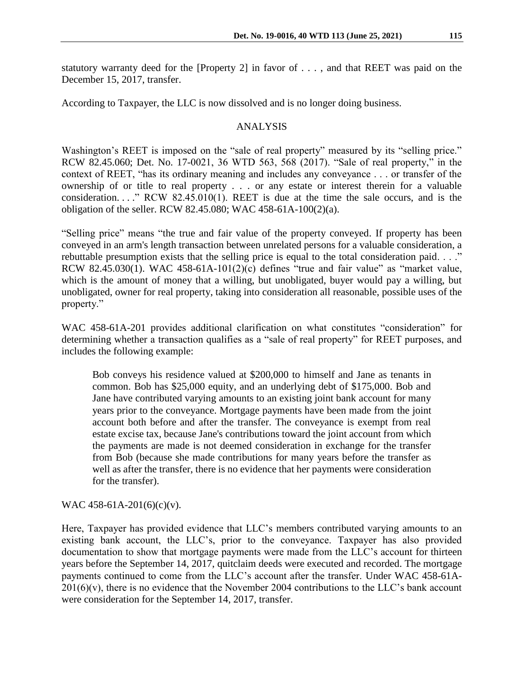statutory warranty deed for the [Property 2] in favor of . . . , and that REET was paid on the December 15, 2017, transfer.

According to Taxpayer, the LLC is now dissolved and is no longer doing business.

### ANALYSIS

Washington's REET is imposed on the "sale of real property" measured by its "selling price." RCW 82.45.060; Det. No. 17-0021, 36 WTD 563, 568 (2017). "Sale of real property," in the context of REET, "has its ordinary meaning and includes any conveyance . . . or transfer of the ownership of or title to real property . . . or any estate or interest therein for a valuable consideration.  $\ldots$  " RCW 82.45.010(1). REET is due at the time the sale occurs, and is the obligation of the seller. RCW 82.45.080; WAC 458-61A-100(2)(a).

"Selling price" means "the true and fair value of the property conveyed. If property has been conveyed in an arm's length transaction between unrelated persons for a valuable consideration, a rebuttable presumption exists that the selling price is equal to the total consideration paid. . . ." RCW 82.45.030(1). WAC 458-61A-101(2)(c) defines "true and fair value" as "market value, which is the amount of money that a willing, but unobligated, buyer would pay a willing, but unobligated, owner for real property, taking into consideration all reasonable, possible uses of the property."

WAC 458-61A-201 provides additional clarification on what constitutes "consideration" for determining whether a transaction qualifies as a "sale of real property" for REET purposes, and includes the following example:

Bob conveys his residence valued at \$200,000 to himself and Jane as tenants in common. Bob has \$25,000 equity, and an underlying debt of \$175,000. Bob and Jane have contributed varying amounts to an existing joint bank account for many years prior to the conveyance. Mortgage payments have been made from the joint account both before and after the transfer. The conveyance is exempt from real estate excise tax, because Jane's contributions toward the joint account from which the payments are made is not deemed consideration in exchange for the transfer from Bob (because she made contributions for many years before the transfer as well as after the transfer, there is no evidence that her payments were consideration for the transfer).

## WAC 458-61A-201(6)(c)(v).

Here, Taxpayer has provided evidence that LLC's members contributed varying amounts to an existing bank account, the LLC's, prior to the conveyance. Taxpayer has also provided documentation to show that mortgage payments were made from the LLC's account for thirteen years before the September 14, 2017, quitclaim deeds were executed and recorded. The mortgage payments continued to come from the LLC's account after the transfer. Under WAC 458-61A- $201(6)(v)$ , there is no evidence that the November 2004 contributions to the LLC's bank account were consideration for the September 14, 2017, transfer.